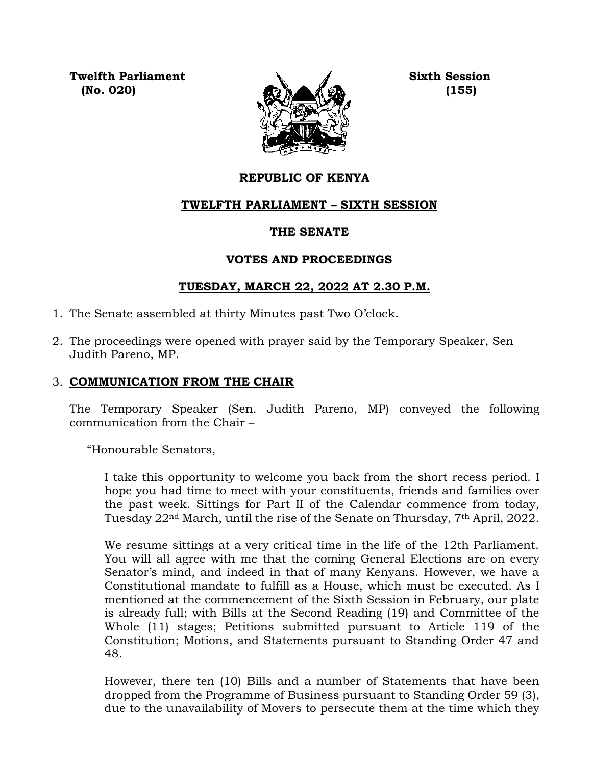**Twelfth Parliament Sixth Session**



## **REPUBLIC OF KENYA**

## **TWELFTH PARLIAMENT – SIXTH SESSION**

### **THE SENATE**

## **VOTES AND PROCEEDINGS**

## **TUESDAY, MARCH 22, 2022 AT 2.30 P.M.**

- 1. The Senate assembled at thirty Minutes past Two O'clock.
- 2. The proceedings were opened with prayer said by the Temporary Speaker, Sen Judith Pareno, MP.

# 3. **COMMUNICATION FROM THE CHAIR**

The Temporary Speaker (Sen. Judith Pareno, MP) conveyed the following communication from the Chair –

"Honourable Senators,

I take this opportunity to welcome you back from the short recess period. I hope you had time to meet with your constituents, friends and families over the past week. Sittings for Part II of the Calendar commence from today, Tuesday 22nd March, until the rise of the Senate on Thursday, 7th April, 2022.

We resume sittings at a very critical time in the life of the 12th Parliament. You will all agree with me that the coming General Elections are on every Senator's mind, and indeed in that of many Kenyans. However, we have a Constitutional mandate to fulfill as a House, which must be executed. As I mentioned at the commencement of the Sixth Session in February, our plate is already full; with Bills at the Second Reading (19) and Committee of the Whole (11) stages; Petitions submitted pursuant to Article 119 of the Constitution; Motions, and Statements pursuant to Standing Order 47 and 48.

However, there ten (10) Bills and a number of Statements that have been dropped from the Programme of Business pursuant to Standing Order 59 (3), due to the unavailability of Movers to persecute them at the time which they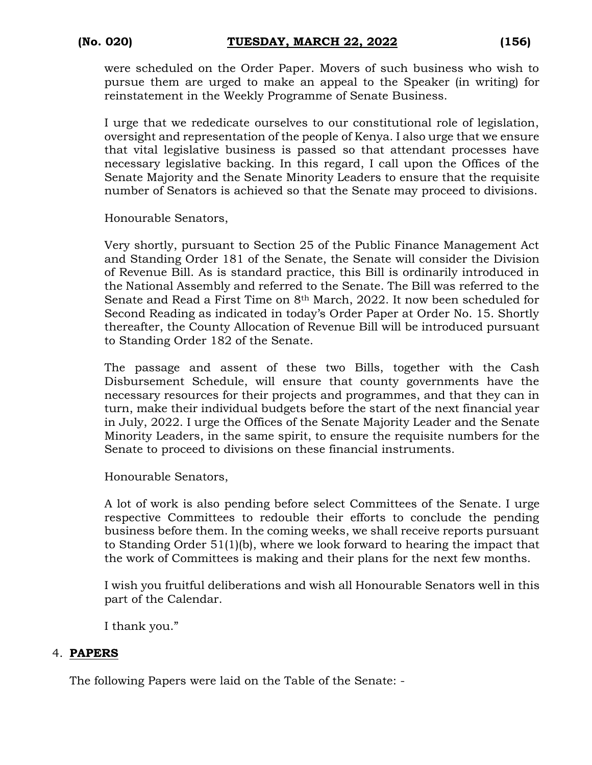were scheduled on the Order Paper. Movers of such business who wish to pursue them are urged to make an appeal to the Speaker (in writing) for reinstatement in the Weekly Programme of Senate Business.

I urge that we rededicate ourselves to our constitutional role of legislation, oversight and representation of the people of Kenya. I also urge that we ensure that vital legislative business is passed so that attendant processes have necessary legislative backing. In this regard, I call upon the Offices of the Senate Majority and the Senate Minority Leaders to ensure that the requisite number of Senators is achieved so that the Senate may proceed to divisions.

Honourable Senators,

Very shortly, pursuant to Section 25 of the Public Finance Management Act and Standing Order 181 of the Senate, the Senate will consider the Division of Revenue Bill. As is standard practice, this Bill is ordinarily introduced in the National Assembly and referred to the Senate. The Bill was referred to the Senate and Read a First Time on 8th March, 2022. It now been scheduled for Second Reading as indicated in today's Order Paper at Order No. 15. Shortly thereafter, the County Allocation of Revenue Bill will be introduced pursuant to Standing Order 182 of the Senate.

The passage and assent of these two Bills, together with the Cash Disbursement Schedule, will ensure that county governments have the necessary resources for their projects and programmes, and that they can in turn, make their individual budgets before the start of the next financial year in July, 2022. I urge the Offices of the Senate Majority Leader and the Senate Minority Leaders, in the same spirit, to ensure the requisite numbers for the Senate to proceed to divisions on these financial instruments.

Honourable Senators,

A lot of work is also pending before select Committees of the Senate. I urge respective Committees to redouble their efforts to conclude the pending business before them. In the coming weeks, we shall receive reports pursuant to Standing Order 51(1)(b), where we look forward to hearing the impact that the work of Committees is making and their plans for the next few months.

I wish you fruitful deliberations and wish all Honourable Senators well in this part of the Calendar.

I thank you."

## 4. **PAPERS**

The following Papers were laid on the Table of the Senate: -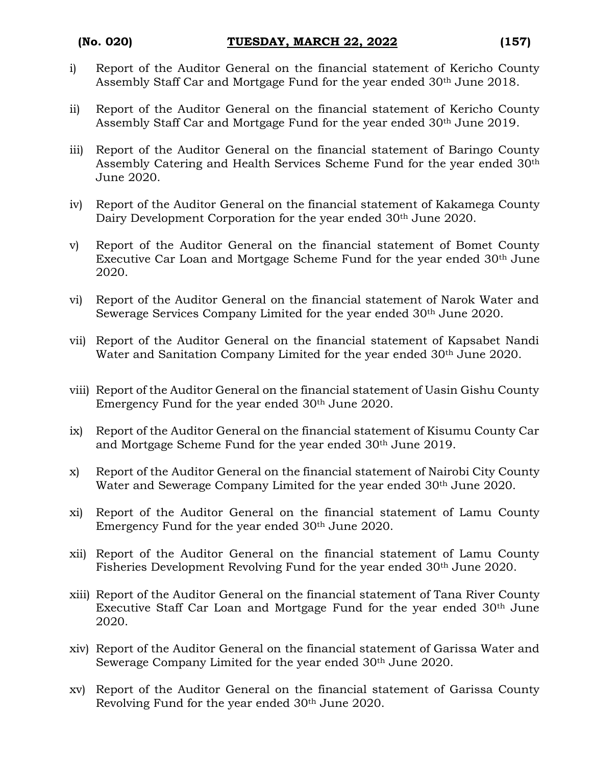- i) Report of the Auditor General on the financial statement of Kericho County Assembly Staff Car and Mortgage Fund for the year ended 30th June 2018.
- ii) Report of the Auditor General on the financial statement of Kericho County Assembly Staff Car and Mortgage Fund for the year ended 30th June 2019.
- iii) Report of the Auditor General on the financial statement of Baringo County Assembly Catering and Health Services Scheme Fund for the year ended 30th June 2020.
- iv) Report of the Auditor General on the financial statement of Kakamega County Dairy Development Corporation for the year ended 30<sup>th</sup> June 2020.
- v) Report of the Auditor General on the financial statement of Bomet County Executive Car Loan and Mortgage Scheme Fund for the year ended 30th June 2020.
- vi) Report of the Auditor General on the financial statement of Narok Water and Sewerage Services Company Limited for the year ended 30<sup>th</sup> June 2020.
- vii) Report of the Auditor General on the financial statement of Kapsabet Nandi Water and Sanitation Company Limited for the year ended 30<sup>th</sup> June 2020.
- viii) Report of the Auditor General on the financial statement of Uasin Gishu County Emergency Fund for the year ended 30th June 2020.
- ix) Report of the Auditor General on the financial statement of Kisumu County Car and Mortgage Scheme Fund for the year ended 30th June 2019.
- x) Report of the Auditor General on the financial statement of Nairobi City County Water and Sewerage Company Limited for the year ended 30<sup>th</sup> June 2020.
- xi) Report of the Auditor General on the financial statement of Lamu County Emergency Fund for the year ended 30th June 2020.
- xii) Report of the Auditor General on the financial statement of Lamu County Fisheries Development Revolving Fund for the year ended 30<sup>th</sup> June 2020.
- xiii) Report of the Auditor General on the financial statement of Tana River County Executive Staff Car Loan and Mortgage Fund for the year ended 30th June 2020.
- xiv) Report of the Auditor General on the financial statement of Garissa Water and Sewerage Company Limited for the year ended 30<sup>th</sup> June 2020.
- xv) Report of the Auditor General on the financial statement of Garissa County Revolving Fund for the year ended 30th June 2020.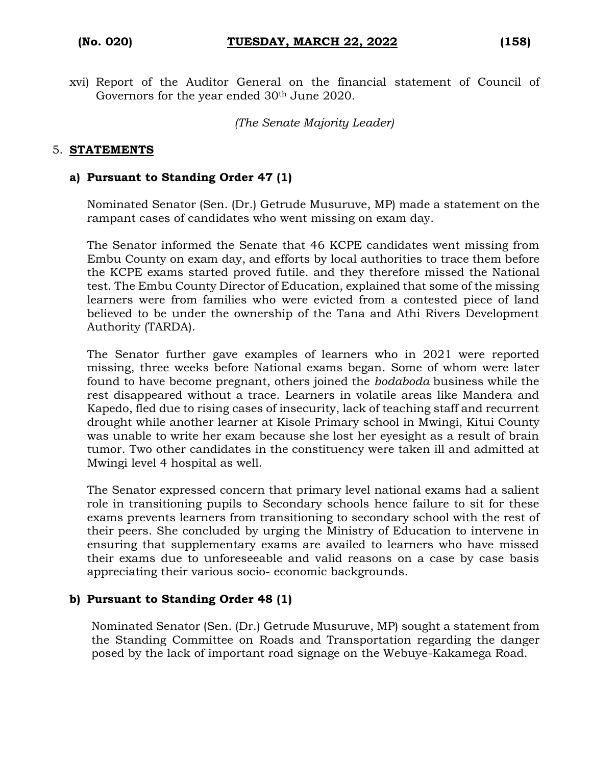xvi) Report of the Auditor General on the financial statement of Council of Governors for the year ended 30<sup>th</sup> June 2020.

*(The Senate Majority Leader)*

#### 5. **STATEMENTS**

#### **a) Pursuant to Standing Order 47 (1)**

Nominated Senator (Sen. (Dr.) Getrude Musuruve, MP) made a statement on the rampant cases of candidates who went missing on exam day.

The Senator informed the Senate that 46 KCPE candidates went missing from Embu County on exam day, and efforts by local authorities to trace them before the KCPE exams started proved futile. and they therefore missed the National test. The Embu County Director of Education, explained that some of the missing learners were from families who were evicted from a contested piece of land believed to be under the ownership of the Tana and Athi Rivers Development Authority (TARDA).

The Senator further gave examples of learners who in 2021 were reported missing, three weeks before National exams began. Some of whom were later found to have become pregnant, others joined the *bodaboda* business while the rest disappeared without a trace. Learners in volatile areas like Mandera and Kapedo, fled due to rising cases of insecurity, lack of teaching staff and recurrent drought while another learner at Kisole Primary school in Mwingi, Kitui County was unable to write her exam because she lost her eyesight as a result of brain tumor. Two other candidates in the constituency were taken ill and admitted at Mwingi level 4 hospital as well.

The Senator expressed concern that primary level national exams had a salient role in transitioning pupils to Secondary schools hence failure to sit for these exams prevents learners from transitioning to secondary school with the rest of their peers. She concluded by urging the Ministry of Education to intervene in ensuring that supplementary exams are availed to learners who have missed their exams due to unforeseeable and valid reasons on a case by case basis appreciating their various socio- economic backgrounds.

#### **b) Pursuant to Standing Order 48 (1)**

Nominated Senator (Sen. (Dr.) Getrude Musuruve, MP) sought a statement from the Standing Committee on Roads and Transportation regarding the danger posed by the lack of important road signage on the Webuye-Kakamega Road.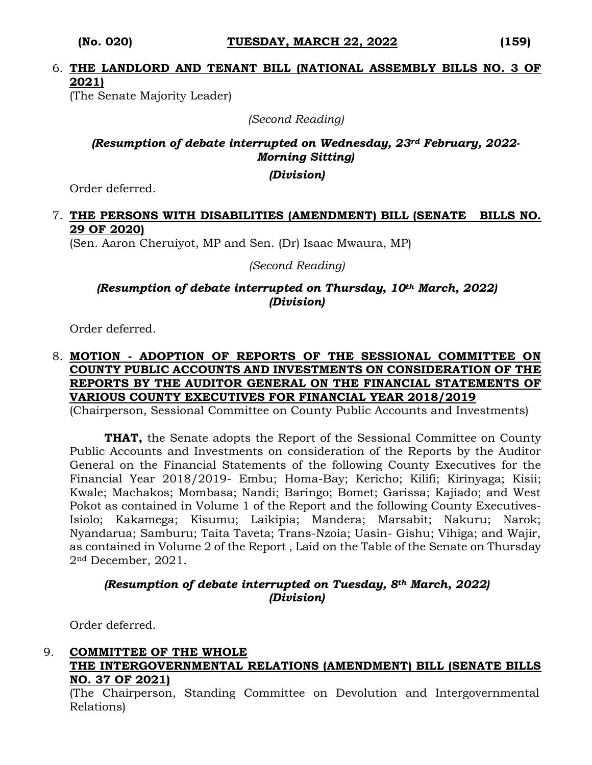## 6. **THE LANDLORD AND TENANT BILL (NATIONAL ASSEMBLY BILLS NO. 3 OF 2021)**

(The Senate Majority Leader)

*(Second Reading)*

## *(Resumption of debate interrupted on Wednesday, 23rd February, 2022- Morning Sitting)*

*(Division)*

Order deferred.

#### 7. **THE PERSONS WITH DISABILITIES (AMENDMENT) BILL (SENATE BILLS NO. 29 OF 2020)**

(Sen. Aaron Cheruiyot, MP and Sen. (Dr) Isaac Mwaura, MP)

*(Second Reading)*

### *(Resumption of debate interrupted on Thursday, 10th March, 2022) (Division)*

Order deferred.

## 8. **MOTION - ADOPTION OF REPORTS OF THE SESSIONAL COMMITTEE ON COUNTY PUBLIC ACCOUNTS AND INVESTMENTS ON CONSIDERATION OF THE REPORTS BY THE AUDITOR GENERAL ON THE FINANCIAL STATEMENTS OF VARIOUS COUNTY EXECUTIVES FOR FINANCIAL YEAR 2018/2019**

(Chairperson, Sessional Committee on County Public Accounts and Investments)

**THAT,** the Senate adopts the Report of the Sessional Committee on County Public Accounts and Investments on consideration of the Reports by the Auditor General on the Financial Statements of the following County Executives for the Financial Year 2018/2019- Embu; Homa-Bay; Kericho; Kilifi; Kirinyaga; Kisii; Kwale; Machakos; Mombasa; Nandi; Baringo; Bomet; Garissa; Kajiado; and West Pokot as contained in Volume 1 of the Report and the following County Executives-Isiolo; Kakamega; Kisumu; Laikipia; Mandera; Marsabit; Nakuru; Narok; Nyandarua; Samburu; Taita Taveta; Trans-Nzoia; Uasin- Gishu; Vihiga; and Wajir, as contained in Volume 2 of the Report , Laid on the Table of the Senate on Thursday 2nd December, 2021.

### *(Resumption of debate interrupted on Tuesday, 8th March, 2022) (Division)*

Order deferred.

### 9. **COMMITTEE OF THE WHOLE THE INTERGOVERNMENTAL RELATIONS (AMENDMENT) BILL (SENATE BILLS NO. 37 OF 2021)**

(The Chairperson, Standing Committee on Devolution and Intergovernmental Relations)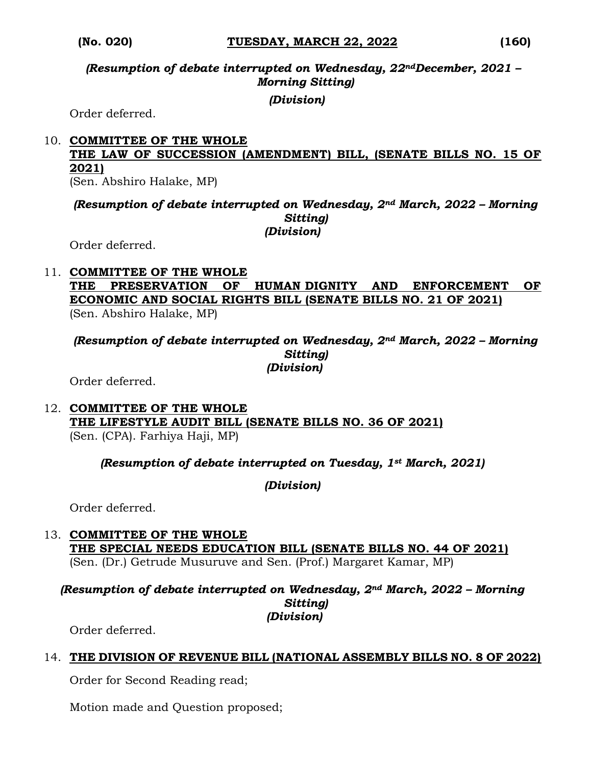*(Resumption of debate interrupted on Wednesday, 22ndDecember, 2021 – Morning Sitting)*

*(Division)*

Order deferred.

#### 10. **COMMITTEE OF THE WHOLE THE LAW OF SUCCESSION (AMENDMENT) BILL, (SENATE BILLS NO. 15 OF 2021)** (Sen. Abshiro Halake, MP)

*(Resumption of debate interrupted on Wednesday, 2nd March, 2022 – Morning Sitting) (Division)*

Order deferred.

#### 11. **COMMITTEE OF THE WHOLE THE PRESERVATION OF HUMAN DIGNITY AND ENFORCEMENT OF ECONOMIC AND SOCIAL RIGHTS BILL (SENATE BILLS NO. 21 OF 2021)**  (Sen. Abshiro Halake, MP)

*(Resumption of debate interrupted on Wednesday, 2nd March, 2022 – Morning Sitting) (Division)*

Order deferred.

12. **COMMITTEE OF THE WHOLE THE LIFESTYLE AUDIT BILL (SENATE BILLS NO. 36 OF 2021)**  (Sen. (CPA). Farhiya Haji, MP)

#### *(Resumption of debate interrupted on Tuesday, 1st March, 2021)*

*(Division)*

Order deferred.

13. **COMMITTEE OF THE WHOLE THE SPECIAL NEEDS EDUCATION BILL (SENATE BILLS NO. 44 OF 2021)**  (Sen. (Dr.) Getrude Musuruve and Sen. (Prof.) Margaret Kamar, MP)

*(Resumption of debate interrupted on Wednesday, 2nd March, 2022 – Morning Sitting) (Division)*

Order deferred.

## 14. **THE DIVISION OF REVENUE BILL (NATIONAL ASSEMBLY BILLS NO. 8 OF 2022)**

Order for Second Reading read;

Motion made and Question proposed;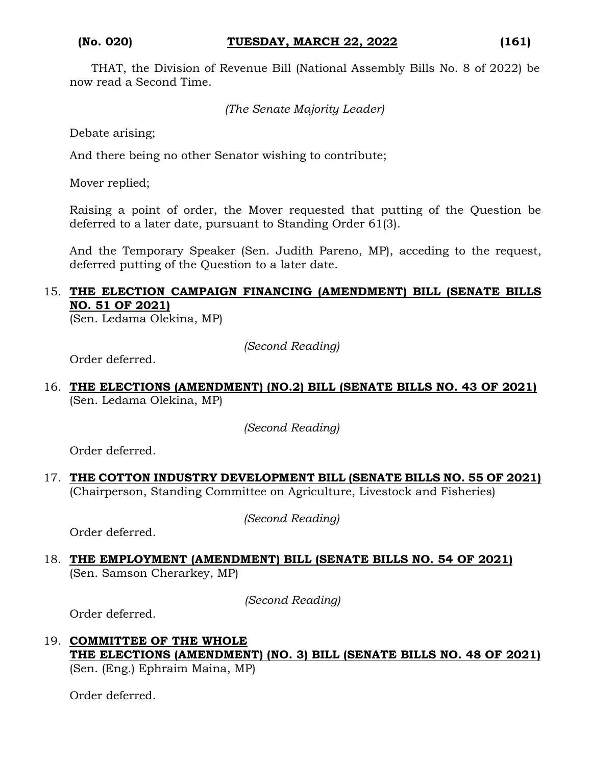THAT, the Division of Revenue Bill (National Assembly Bills No. 8 of 2022) be now read a Second Time.

```
(The Senate Majority Leader)
```
Debate arising;

And there being no other Senator wishing to contribute;

Mover replied;

Raising a point of order, the Mover requested that putting of the Question be deferred to a later date, pursuant to Standing Order 61(3).

And the Temporary Speaker (Sen. Judith Pareno, MP), acceding to the request, deferred putting of the Question to a later date.

## 15. **THE ELECTION CAMPAIGN FINANCING (AMENDMENT) BILL (SENATE BILLS NO. 51 OF 2021)**

(Sen. Ledama Olekina, MP)

*(Second Reading)*

Order deferred.

16. **THE ELECTIONS (AMENDMENT) (NO.2) BILL (SENATE BILLS NO. 43 OF 2021)**  (Sen. Ledama Olekina, MP)

*(Second Reading)*

Order deferred.

17. **THE COTTON INDUSTRY DEVELOPMENT BILL (SENATE BILLS NO. 55 OF 2021)** (Chairperson, Standing Committee on Agriculture, Livestock and Fisheries)

*(Second Reading)*

Order deferred.

18. **THE EMPLOYMENT (AMENDMENT) BILL (SENATE BILLS NO. 54 OF 2021)** (Sen. Samson Cherarkey, MP)

*(Second Reading)*

Order deferred.

19. **COMMITTEE OF THE WHOLE THE ELECTIONS (AMENDMENT) (NO. 3) BILL (SENATE BILLS NO. 48 OF 2021)** (Sen. (Eng.) Ephraim Maina, MP)

Order deferred.